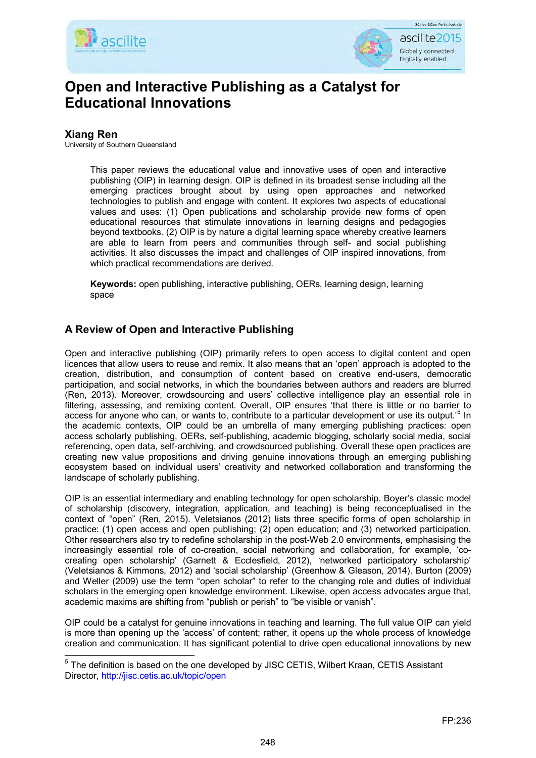



# <span id="page-0-1"></span>**Open and Interactive Publishing as a Catalyst for Educational Innovations**

# **Xiang Ren**

University of Southern Queensland

This paper reviews the educational value and innovative uses of open and interactive publishing (OIP) in learning design. OIP is defined in its broadest sense including all the emerging practices brought about by using open approaches and networked technologies to publish and engage with content. It explores two aspects of educational values and uses: (1) Open publications and scholarship provide new forms of open educational resources that stimulate innovations in learning designs and pedagogies beyond textbooks. (2) OIP is by nature a digital learning space whereby creative learners are able to learn from peers and communities through self- and social publishing activities. It also discusses the impact and challenges of OIP inspired innovations, from which practical recommendations are derived.

**Keywords:** open publishing, interactive publishing, OERs, learning design, learning space

# **A Review of Open and Interactive Publishing**

Open and interactive publishing (OIP) primarily refers to open access to digital content and open licences that allow users to reuse and remix. It also means that an 'open' approach is adopted to the creation, distribution, and consumption of content based on creative end-users, democratic participation, and social networks, in which the boundaries between authors and readers are blurred (Ren, 2013). Moreover, crowdsourcing and users' collective intelligence play an essential role in filtering, assessing, and remixing content. Overall, OIP ensures 'that there is little or no barrier to access for anyone who can, or wants to, contribute to a particular development or use its output.<sup>[5](#page-0-0)</sup> In the academic contexts, OIP could be an umbrella of many emerging publishing practices: open access scholarly publishing, OERs, self-publishing, academic blogging, scholarly social media, social referencing, open data, self-archiving, and crowdsourced publishing. Overall these open practices are creating new value propositions and driving genuine innovations through an emerging publishing ecosystem based on individual users' creativity and networked collaboration and transforming the landscape of scholarly publishing.

OIP is an essential intermediary and enabling technology for open scholarship. Boyer's classic model of scholarship (discovery, integration, application, and teaching) is being reconceptualised in the context of "open" (Ren, 2015). Veletsianos (2012) lists three specific forms of open scholarship in practice: (1) open access and open publishing; (2) open education; and (3) networked participation. Other researchers also try to redefine scholarship in the post-Web 2.0 environments, emphasising the increasingly essential role of co-creation, social networking and collaboration, for example, 'cocreating open scholarship' (Garnett & Ecclesfield, 2012), 'networked participatory scholarship' (Veletsianos & Kimmons, 2012) and 'social scholarship' (Greenhow & Gleason, 2014). Burton (2009) and Weller (2009) use the term "open scholar" to refer to the changing role and duties of individual scholars in the emerging open knowledge environment. Likewise, open access advocates argue that, academic maxims are shifting from "publish or perish" to "be visible or vanish".

OIP could be a catalyst for genuine innovations in teaching and learning. The full value OIP can yield is more than opening up the 'access' of content; rather, it opens up the whole process of knowledge creation and communication. It has significant potential to drive open educational innovations by new

<span id="page-0-0"></span> $\overline{a}$ <sup>5</sup> The definition is based on the one developed by JISC CETIS, Wilbert Kraan, CETIS Assistant Director, http://jisc.cetis.ac.uk/topic/open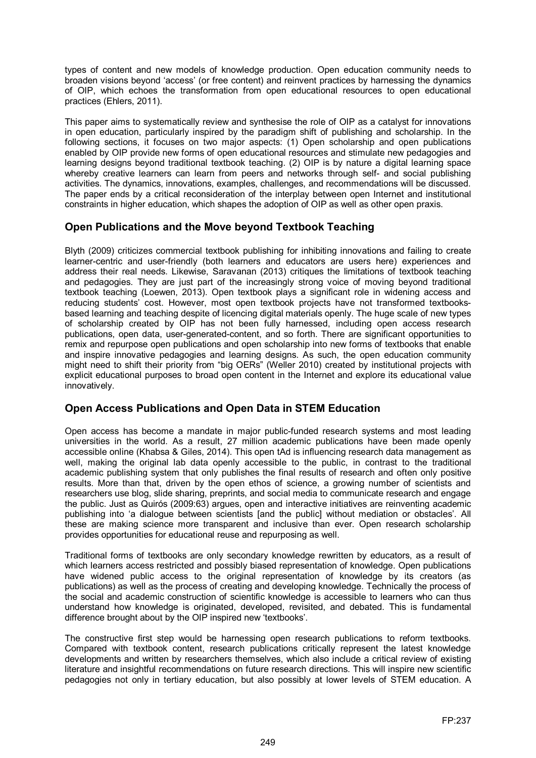types of content and new models of knowledge production. Open education community needs to broaden visions beyond 'access' (or free content) and reinvent practices by harnessing the dynamics of OIP, which echoes the transformation from open educational resources to open educational practices (Ehlers, 2011).

This paper aims to systematically review and synthesise the role of OIP as a catalyst for innovations in open education, particularly inspired by the paradigm shift of publishing and scholarship. In the following sections, it focuses on two major aspects: (1) Open scholarship and open publications enabled by OIP provide new forms of open educational resources and stimulate new pedagogies and learning designs beyond traditional textbook teaching. (2) OIP is by nature a digital learning space whereby creative learners can learn from peers and networks through self- and social publishing activities. The dynamics, innovations, examples, challenges, and recommendations will be discussed. The paper ends by a critical reconsideration of the interplay between open Internet and institutional constraints in higher education, which shapes the adoption of OIP as well as other open praxis.

#### **Open Publications and the Move beyond Textbook Teaching**

Blyth (2009) criticizes commercial textbook publishing for inhibiting innovations and failing to create learner-centric and user-friendly (both learners and educators are users here) experiences and address their real needs. Likewise, Saravanan (2013) critiques the limitations of textbook teaching and pedagogies. They are just part of the increasingly strong voice of moving beyond traditional textbook teaching (Loewen, 2013). Open textbook plays a significant role in widening access and reducing students' cost. However, most open textbook projects have not transformed textbooksbased learning and teaching despite of licencing digital materials openly. The huge scale of new types of scholarship created by OIP has not been fully harnessed, including open access research publications, open data, user-generated-content, and so forth. There are significant opportunities to remix and repurpose open publications and open scholarship into new forms of textbooks that enable and inspire innovative pedagogies and learning designs. As such, the open education community might need to shift their priority from "big OERs" (Weller 2010) created by institutional projects with explicit educational purposes to broad open content in the Internet and explore its educational value innovatively.

# **Open Access Publications and Open Data in STEM Education**

Open access has become a mandate in major public-funded research systems and most leading universities in the world. As a result, 27 million academic publications have been made openly accessible online (Khabsa & Giles, 2014). This open tAd is influencing research data management as well, making the original lab data openly accessible to the public, in contrast to the traditional academic publishing system that only publishes the final results of research and often only positive results. More than that, driven by the open ethos of science, a growing number of scientists and researchers use blog, slide sharing, preprints, and social media to communicate research and engage the public. Just as Quirós (2009:63) argues, open and interactive initiatives are reinventing academic publishing into 'a dialogue between scientists [and the public] without mediation or obstacles'. All these are making science more transparent and inclusive than ever. Open research scholarship provides opportunities for educational reuse and repurposing as well.

Traditional forms of textbooks are only secondary knowledge rewritten by educators, as a result of which learners access restricted and possibly biased representation of knowledge. Open publications have widened public access to the original representation of knowledge by its creators (as publications) as well as the process of creating and developing knowledge. Technically the process of the social and academic construction of scientific knowledge is accessible to learners who can thus understand how knowledge is originated, developed, revisited, and debated. This is fundamental difference brought about by the OIP inspired new 'textbooks'.

The constructive first step would be harnessing open research publications to reform textbooks. Compared with textbook content, research publications critically represent the latest knowledge developments and written by researchers themselves, which also include a critical review of existing literature and insightful recommendations on future research directions. This will inspire new scientific pedagogies not only in tertiary education, but also possibly at lower levels of STEM education. A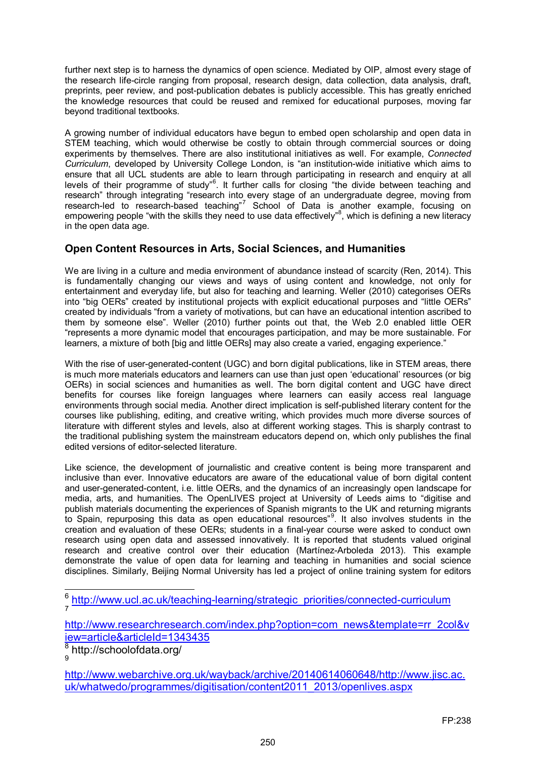further next step is to harness the dynamics of open science. Mediated by OIP, almost every stage of the research life-circle ranging from proposal, research design, data collection, data analysis, draft, preprints, peer review, and post-publication debates is publicly accessible. This has greatly enriched the knowledge resources that could be reused and remixed for educational purposes, moving far beyond traditional textbooks.

A growing number of individual educators have begun to embed open scholarship and open data in STEM teaching, which would otherwise be costly to obtain through commercial sources or doing experiments by themselves. There are also institutional initiatives as well. For example, *Connected Curriculum*, developed by University College London, is "an institution-wide initiative which aims to ensure that all UCL students are able to learn through participating in research and enquiry at all levels of their programme of study"<sup>[6](#page-2-0)</sup>. It further calls for closing "the divide between teaching and research" through integrating "research into every stage of an undergraduate degree, moving from research-led to research-based teaching"<sup>[7](#page-2-1)</sup> School of Data is another example, focusing on empowering people "with the skills they need to use data effectively"<sup>[8](#page-2-2)</sup>, which is defining a new literacy in the open data age.

# **Open Content Resources in Arts, Social Sciences, and Humanities**

We are living in a culture and media environment of abundance instead of scarcity (Ren, 2014). This is fundamentally changing our views and ways of using content and knowledge, not only for entertainment and everyday life, but also for teaching and learning. Weller (2010) categorises OERs into "big OERs" created by institutional projects with explicit educational purposes and "little OERs" created by individuals "from a variety of motivations, but can have an educational intention ascribed to them by someone else". Weller (2010) further points out that, the Web 2.0 enabled little OER "represents a more dynamic model that encourages participation, and may be more sustainable. For learners, a mixture of both [big and little OERs] may also create a varied, engaging experience."

With the rise of user-generated-content (UGC) and born digital publications, like in STEM areas, there is much more materials educators and learners can use than just open 'educational' resources (or big OERs) in social sciences and humanities as well. The born digital content and UGC have direct benefits for courses like foreign languages where learners can easily access real language environments through social media. Another direct implication is self-published literary content for the courses like publishing, editing, and creative writing, which provides much more diverse sources of literature with different styles and levels, also at different working stages. This is sharply contrast to the traditional publishing system the mainstream educators depend on, which only publishes the final edited versions of editor-selected literature.

Like science, the development of journalistic and creative content is being more transparent and inclusive than ever. Innovative educators are aware of the educational value of born digital content and user-generated-content, i.e. little OERs, and the dynamics of an increasingly open landscape for media, arts, and humanities. The OpenLIVES project at University of Leeds aims to "digitise and publish materials documenting the experiences of Spanish migrants to the UK and returning migrants to Spain, repurposing this data as open educational resources"<sup>[9](#page-2-3)</sup>. It also involves students in the creation and evaluation of these OERs; students in a final-year course were asked to conduct own research using open data and assessed innovatively. It is reported that students valued original research and creative control over their education (Martínez-Arboleda 2013). This example demonstrate the value of open data for learning and teaching in humanities and social science disciplines. Similarly, Beijing Normal University has led a project of online training system for editors

<span id="page-2-1"></span>[http://www.researchresearch.com/index.php?option=com\\_news&template=rr\\_2col&v](http://www.researchresearch.com/index.php?option=com_news&template=rr_2col&view=article&articleId=1343435) [iew=article&articleId=1343435](http://www.researchresearch.com/index.php?option=com_news&template=rr_2col&view=article&articleId=1343435)

<span id="page-2-2"></span><sup>8</sup> http://schoolofdata.org/ 9

<span id="page-2-3"></span>[http://www.webarchive.org.uk/wayback/archive/20140614060648/http://www.jisc.ac.](http://www.webarchive.org.uk/wayback/archive/20140614060648/http:/www.jisc.ac.uk/whatwedo/programmes/digitisation/content2011_2013/openlives.aspx) [uk/whatwedo/programmes/digitisation/content2011\\_2013/openlives.aspx](http://www.webarchive.org.uk/wayback/archive/20140614060648/http:/www.jisc.ac.uk/whatwedo/programmes/digitisation/content2011_2013/openlives.aspx)

<span id="page-2-0"></span> $\overline{\phantom{a}}$ <sup>6</sup> [http://www.ucl.ac.uk/teaching-learning/strategic\\_priorities/connected-curriculum](http://www.ucl.ac.uk/teaching-learning/strategic_priorities/connected-curriculum)<br><sup>7</sup>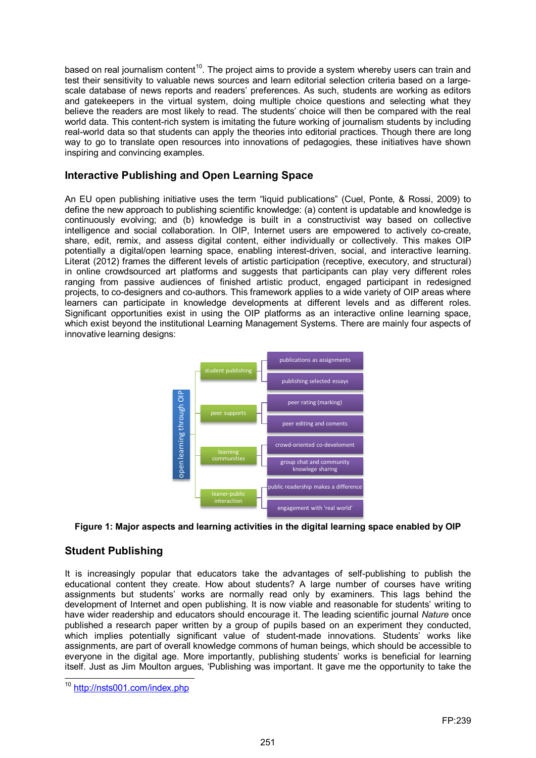based on real journalism content<sup>10</sup>. The project aims to provide a system whereby users can train and test their sensitivity to valuable news sources and learn editorial selection criteria based on a largescale database of news reports and readers' preferences. As such, students are working as editors and gatekeepers in the virtual system, doing multiple choice questions and selecting what they believe the readers are most likely to read. The students' choice will then be compared with the real world data. This content-rich system is imitating the future working of journalism students by including real-world data so that students can apply the theories into editorial practices. Though there are long way to go to translate open resources into innovations of pedagogies, these initiatives have shown inspiring and convincing examples.

#### **Interactive Publishing and Open Learning Space**

An EU open publishing initiative uses the term "liquid publications" (Cuel, Ponte, & Rossi, 2009) to define the new approach to publishing scientific knowledge: (a) content is updatable and knowledge is continuously evolving; and (b) knowledge is built in a constructivist way based on collective intelligence and social collaboration. In OIP, Internet users are empowered to actively co-create, share, edit, remix, and assess digital content, either individually or collectively. This makes OIP potentially a digital/open learning space, enabling interest-driven, social, and interactive learning. Literat (2012) frames the different levels of artistic participation (receptive, executory, and structural) in online crowdsourced art platforms and suggests that participants can play very different roles ranging from passive audiences of finished artistic product, engaged participant in redesigned projects, to co-designers and co-authors. This framework applies to a wide variety of OIP areas where learners can participate in knowledge developments at different levels and as different roles. Significant opportunities exist in using the OIP platforms as an interactive online learning space, which exist beyond the institutional Learning Management Systems. There are mainly four aspects of innovative learning designs:



#### **Figure 1: Major aspects and learning activities in the digital learning space enabled by OIP**

# **Student Publishing**

It is increasingly popular that educators take the advantages of self-publishing to publish the educational content they create. How about students? A large number of courses have writing assignments but students' works are normally read only by examiners. This lags behind the development of Internet and open publishing. It is now viable and reasonable for students' writing to have wider readership and educators should encourage it. The leading scientific journal *Nature* once published a research paper written by a group of pupils based on an experiment they conducted, which implies potentially significant value of student-made innovations. Students' works like assignments, are part of overall knowledge commons of human beings, which should be accessible to everyone in the digital age. More importantly, publishing students' works is beneficial for learning itself. Just as Jim Moulton argues, 'Publishing was important. It gave me the opportunity to take the Figure 1: Major aspects an<br>
Student Publishing<br>
It is increasingly popular that<br>
educational content they creases<br>
assignments but students' we<br>
development of Internet and or<br>
photosistical aresearch paper w<br>
which implie

<span id="page-3-0"></span> $10$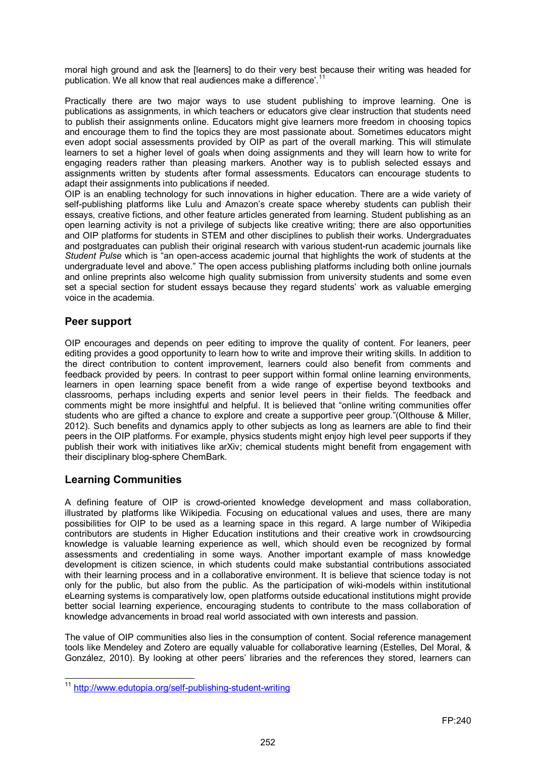moral high ground and ask the [learners] to do their very best because their writing was headed for publication. We all know that real audiences make a difference'.<sup>[11](#page-4-0)</sup>

Practically there are two major ways to use student publishing to improve learning. One is publications as assignments, in which teachers or educators give clear instruction that students need to publish their assignments online. Educators might give learners more freedom in choosing topics and encourage them to find the topics they are most passionate about. Sometimes educators might even adopt social assessments provided by OIP as part of the overall marking. This will stimulate learners to set a higher level of goals when doing assignments and they will learn how to write for engaging readers rather than pleasing markers. Another way is to publish selected essays and assignments written by students after formal assessments. Educators can encourage students to adapt their assignments into publications if needed.

OIP is an enabling technology for such innovations in higher education. There are a wide variety of self-publishing platforms like Lulu and Amazon's create space whereby students can publish their essays, creative fictions, and other feature articles generated from learning. Student publishing as an open learning activity is not a privilege of subjects like creative writing; there are also opportunities and OIP platforms for students in STEM and other disciplines to publish their works. Undergraduates and postgraduates can publish their original research with various student-run academic journals like *Student Pulse* which is "an open-access academic journal that highlights the work of students at the undergraduate level and above." The open access publishing platforms including both online journals and online preprints also welcome high quality submission from university students and some even set a special section for student essays because they regard students' work as valuable emerging voice in the academia.

#### **Peer support**

OIP encourages and depends on peer editing to improve the quality of content. For leaners, peer editing provides a good opportunity to learn how to write and improve their writing skills. In addition to the direct contribution to content improvement, learners could also benefit from comments and feedback provided by peers. In contrast to peer support within formal online learning environments, learners in open learning space benefit from a wide range of expertise beyond textbooks and classrooms, perhaps including experts and senior level peers in their fields. The feedback and comments might be more insightful and helpful. It is believed that "online writing communities offer students who are gifted a chance to explore and create a supportive peer group."(Olthouse & Miller, 2012). Such benefits and dynamics apply to other subjects as long as learners are able to find their peers in the OIP platforms. For example, physics students might enjoy high level peer supports if they publish their work with initiatives like arXiv; chemical students might benefit from engagement with their disciplinary blog-sphere ChemBark.

# **Learning Communities**

A defining feature of OIP is crowd-oriented knowledge development and mass collaboration, illustrated by platforms like Wikipedia. Focusing on educational values and uses, there are many possibilities for OIP to be used as a learning space in this regard. A large number of Wikipedia contributors are students in Higher Education institutions and their creative work in crowdsourcing knowledge is valuable learning experience as well, which should even be recognized by formal assessments and credentialing in some ways. Another important example of mass knowledge development is citizen science, in which students could make substantial contributions associated with their learning process and in a collaborative environment. It is believe that science today is not only for the public, but also from the public. As the participation of wiki-models within institutional eLearning systems is comparatively low, open platforms outside educational institutions might provide better social learning experience, encouraging students to contribute to the mass collaboration of knowledge advancements in broad real world associated with own interests and passion.

The value of OIP communities also lies in the consumption of content. Social reference management tools like Mendeley and Zotero are equally valuable for collaborative learning (Estelles, Del Moral, & González, 2010). By looking at other peers' libraries and the references they stored, learners can

<span id="page-4-0"></span> $\overline{\phantom{a}}$ <sup>11</sup> <http://www.edutopia.org/self-publishing-student-writing>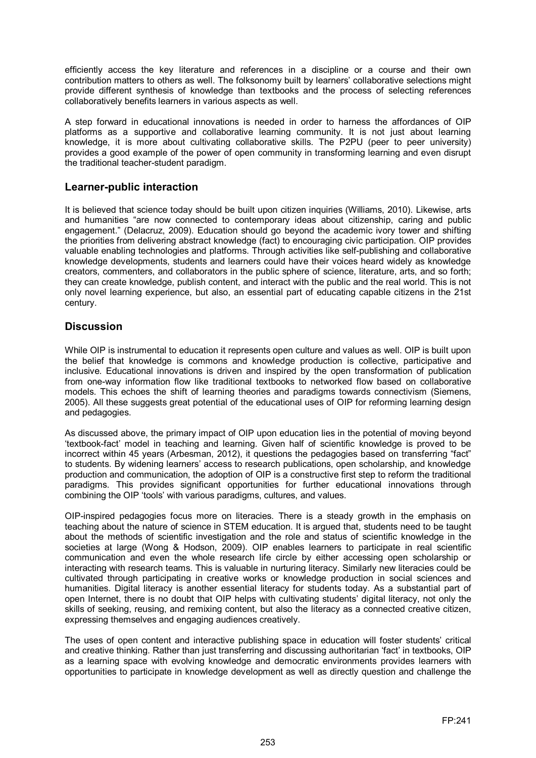efficiently access the key literature and references in a discipline or a course and their own contribution matters to others as well. The folksonomy built by learners' collaborative selections might provide different synthesis of knowledge than textbooks and the process of selecting references collaboratively benefits learners in various aspects as well.

A step forward in educational innovations is needed in order to harness the affordances of OIP platforms as a supportive and collaborative learning community. It is not just about learning knowledge, it is more about cultivating collaborative skills. The P2PU (peer to peer university) provides a good example of the power of open community in transforming learning and even disrupt the traditional teacher-student paradigm.

#### **Learner-public interaction**

It is believed that science today should be built upon citizen inquiries (Williams, 2010). Likewise, arts and humanities "are now connected to contemporary ideas about citizenship, caring and public engagement." (Delacruz, 2009). Education should go beyond the academic ivory tower and shifting the priorities from delivering abstract knowledge (fact) to encouraging civic participation. OIP provides valuable enabling technologies and platforms. Through activities like self-publishing and collaborative knowledge developments, students and learners could have their voices heard widely as knowledge creators, commenters, and collaborators in the public sphere of science, literature, arts, and so forth; they can create knowledge, publish content, and interact with the public and the real world. This is not only novel learning experience, but also, an essential part of educating capable citizens in the 21st century.

#### **Discussion**

While OIP is instrumental to education it represents open culture and values as well. OIP is built upon the belief that knowledge is commons and knowledge production is collective, participative and inclusive. Educational innovations is driven and inspired by the open transformation of publication from one-way information flow like traditional textbooks to networked flow based on collaborative models. This echoes the shift of learning theories and paradigms towards connectivism (Siemens, 2005). All these suggests great potential of the educational uses of OIP for reforming learning design and pedagogies.

As discussed above, the primary impact of OIP upon education lies in the potential of moving beyond 'textbook-fact' model in teaching and learning. Given half of scientific knowledge is proved to be incorrect within 45 years (Arbesman, 2012), it questions the pedagogies based on transferring "fact" to students. By widening learners' access to research publications, open scholarship, and knowledge production and communication, the adoption of OIP is a constructive first step to reform the traditional paradigms. This provides significant opportunities for further educational innovations through combining the OIP 'tools' with various paradigms, cultures, and values.

OIP-inspired pedagogies focus more on literacies. There is a steady growth in the emphasis on teaching about the nature of science in STEM education. It is argued that, students need to be taught about the methods of scientific investigation and the role and status of scientific knowledge in the societies at large (Wong & Hodson, 2009). OIP enables learners to participate in real scientific communication and even the whole research life circle by either accessing open scholarship or interacting with research teams. This is valuable in nurturing literacy. Similarly new literacies could be cultivated through participating in creative works or knowledge production in social sciences and humanities. Digital literacy is another essential literacy for students today. As a substantial part of open Internet, there is no doubt that OIP helps with cultivating students' digital literacy, not only the skills of seeking, reusing, and remixing content, but also the literacy as a connected creative citizen, expressing themselves and engaging audiences creatively.

The uses of open content and interactive publishing space in education will foster students' critical and creative thinking. Rather than just transferring and discussing authoritarian 'fact' in textbooks, OIP as a learning space with evolving knowledge and democratic environments provides learners with opportunities to participate in knowledge development as well as directly question and challenge the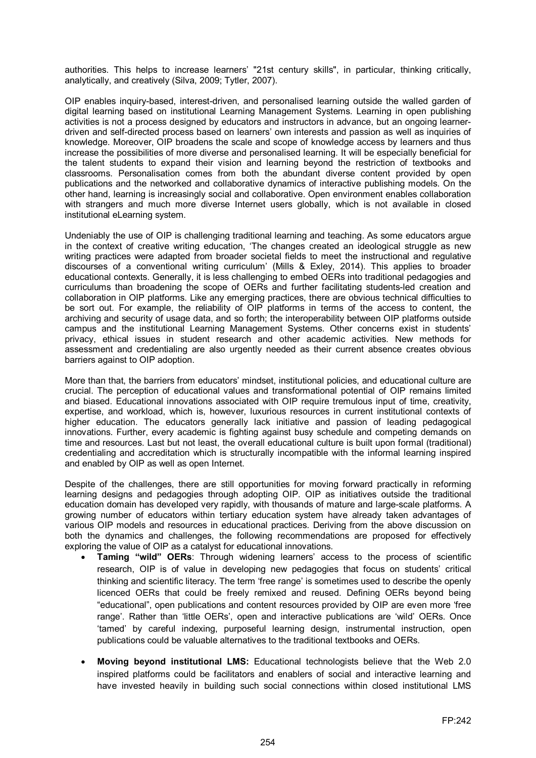authorities. This helps to increase learners' "21st century skills", in particular, thinking critically, analytically, and creatively (Silva, 2009; Tytler, 2007).

OIP enables inquiry-based, interest-driven, and personalised learning outside the walled garden of digital learning based on institutional Learning Management Systems. Learning in open publishing activities is not a process designed by educators and instructors in advance, but an ongoing learnerdriven and self-directed process based on learners' own interests and passion as well as inquiries of knowledge. Moreover, OIP broadens the scale and scope of knowledge access by learners and thus increase the possibilities of more diverse and personalised learning. It will be especially beneficial for the talent students to expand their vision and learning beyond the restriction of textbooks and classrooms. Personalisation comes from both the abundant diverse content provided by open publications and the networked and collaborative dynamics of interactive publishing models. On the other hand, learning is increasingly social and collaborative. Open environment enables collaboration with strangers and much more diverse Internet users globally, which is not available in closed institutional eLearning system.

Undeniably the use of OIP is challenging traditional learning and teaching. As some educators argue in the context of creative writing education, 'The changes created an ideological struggle as new writing practices were adapted from broader societal fields to meet the instructional and regulative discourses of a conventional writing curriculum' (Mills & Exley, 2014). This applies to broader educational contexts. Generally, it is less challenging to embed OERs into traditional pedagogies and curriculums than broadening the scope of OERs and further facilitating students-led creation and collaboration in OIP platforms. Like any emerging practices, there are obvious technical difficulties to be sort out. For example, the reliability of OIP platforms in terms of the access to content, the archiving and security of usage data, and so forth; the interoperability between OIP platforms outside campus and the institutional Learning Management Systems. Other concerns exist in students' privacy, ethical issues in student research and other academic activities. New methods for assessment and credentialing are also urgently needed as their current absence creates obvious barriers against to OIP adoption.

More than that, the barriers from educators' mindset, institutional policies, and educational culture are crucial. The perception of educational values and transformational potential of OIP remains limited and biased. Educational innovations associated with OIP require tremulous input of time, creativity, expertise, and workload, which is, however, luxurious resources in current institutional contexts of higher education. The educators generally lack initiative and passion of leading pedagogical innovations. Further, every academic is fighting against busy schedule and competing demands on time and resources. Last but not least, the overall educational culture is built upon formal (traditional) credentialing and accreditation which is structurally incompatible with the informal learning inspired and enabled by OIP as well as open Internet.

Despite of the challenges, there are still opportunities for moving forward practically in reforming learning designs and pedagogies through adopting OIP. OIP as initiatives outside the traditional education domain has developed very rapidly, with thousands of mature and large-scale platforms. A growing number of educators within tertiary education system have already taken advantages of various OIP models and resources in educational practices. Deriving from the above discussion on both the dynamics and challenges, the following recommendations are proposed for effectively exploring the value of OIP as a catalyst for educational innovations.

- **Taming "wild" OERs**: Through widening learners' access to the process of scientific research, OIP is of value in developing new pedagogies that focus on students' critical thinking and scientific literacy. The term 'free range' is sometimes used to describe the openly licenced OERs that could be freely remixed and reused. Defining OERs beyond being "educational", open publications and content resources provided by OIP are even more 'free range'. Rather than 'little OERs', open and interactive publications are 'wild' OERs. Once 'tamed' by careful indexing, purposeful learning design, instrumental instruction, open publications could be valuable alternatives to the traditional textbooks and OERs.
- **Moving beyond institutional LMS:** Educational technologists believe that the Web 2.0 inspired platforms could be facilitators and enablers of social and interactive learning and have invested heavily in building such social connections within closed institutional LMS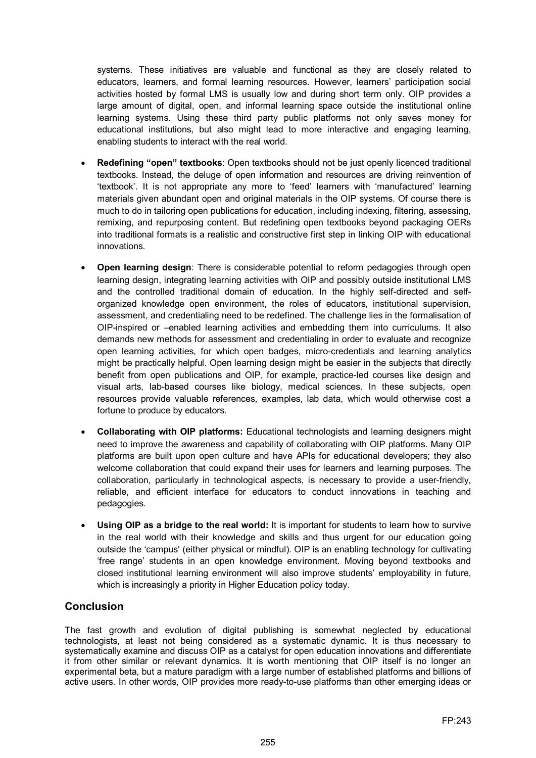systems. These initiatives are valuable and functional as they are closely related to educators, learners, and formal learning resources. However, learners' participation social activities hosted by formal LMS is usually low and during short term only. OIP provides a large amount of digital, open, and informal learning space outside the institutional online learning systems. Using these third party public platforms not only saves money for educational institutions, but also might lead to more interactive and engaging learning, enabling students to interact with the real world.

- **Redefining "open" textbooks**: Open textbooks should not be just openly licenced traditional textbooks. Instead, the deluge of open information and resources are driving reinvention of 'textbook'. It is not appropriate any more to 'feed' learners with 'manufactured' learning materials given abundant open and original materials in the OIP systems. Of course there is much to do in tailoring open publications for education, including indexing, filtering, assessing, remixing, and repurposing content. But redefining open textbooks beyond packaging OERs into traditional formats is a realistic and constructive first step in linking OIP with educational innovations.
- **Open learning design**: There is considerable potential to reform pedagogies through open learning design, integrating learning activities with OIP and possibly outside institutional LMS and the controlled traditional domain of education. In the highly self-directed and selforganized knowledge open environment, the roles of educators, institutional supervision, assessment, and credentialing need to be redefined. The challenge lies in the formalisation of OIP-inspired or –enabled learning activities and embedding them into curriculums. It also demands new methods for assessment and credentialing in order to evaluate and recognize open learning activities, for which open badges, micro-credentials and learning analytics might be practically helpful. Open learning design might be easier in the subjects that directly benefit from open publications and OIP, for example, practice-led courses like design and visual arts, lab-based courses like biology, medical sciences. In these subjects, open resources provide valuable references, examples, lab data, which would otherwise cost a fortune to produce by educators.
- **Collaborating with OIP platforms:** Educational technologists and learning designers might need to improve the awareness and capability of collaborating with OIP platforms. Many OIP platforms are built upon open culture and have APIs for educational developers; they also welcome collaboration that could expand their uses for learners and learning purposes. The collaboration, particularly in technological aspects, is necessary to provide a user-friendly, reliable, and efficient interface for educators to conduct innovations in teaching and pedagogies.
- **Using OIP as a bridge to the real world:** It is important for students to learn how to survive in the real world with their knowledge and skills and thus urgent for our education going outside the 'campus' (either physical or mindful). OIP is an enabling technology for cultivating 'free range' students in an open knowledge environment. Moving beyond textbooks and closed institutional learning environment will also improve students' employability in future, which is increasingly a priority in Higher Education policy today.

# **Conclusion**

The fast growth and evolution of digital publishing is somewhat neglected by educational technologists, at least not being considered as a systematic dynamic. It is thus necessary to systematically examine and discuss OIP as a catalyst for open education innovations and differentiate it from other similar or relevant dynamics. It is worth mentioning that OIP itself is no longer an experimental beta, but a mature paradigm with a large number of established platforms and billions of active users. In other words, OIP provides more ready-to-use platforms than other emerging ideas or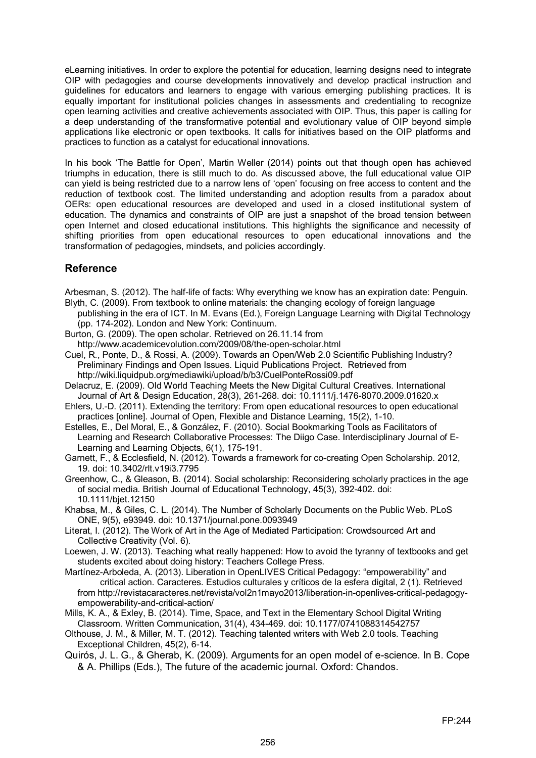eLearning initiatives. In order to explore the potential for education, learning designs need to integrate OIP with pedagogies and course developments innovatively and develop practical instruction and guidelines for educators and learners to engage with various emerging publishing practices. It is equally important for institutional policies changes in assessments and credentialing to recognize open learning activities and creative achievements associated with OIP. Thus, this paper is calling for a deep understanding of the transformative potential and evolutionary value of OIP beyond simple applications like electronic or open textbooks. It calls for initiatives based on the OIP platforms and practices to function as a catalyst for educational innovations.

In his book 'The Battle for Open', Martin Weller (2014) points out that though open has achieved triumphs in education, there is still much to do. As discussed above, the full educational value OIP can yield is being restricted due to a narrow lens of 'open' focusing on free access to content and the reduction of textbook cost. The limited understanding and adoption results from a paradox about OERs: open educational resources are developed and used in a closed institutional system of education. The dynamics and constraints of OIP are just a snapshot of the broad tension between open Internet and closed educational institutions. This highlights the significance and necessity of shifting priorities from open educational resources to open educational innovations and the transformation of pedagogies, mindsets, and policies accordingly.

# **Reference**

Arbesman, S. (2012). The half-life of facts: Why everything we know has an expiration date: Penguin. Blyth, C. (2009). From textbook to online materials: the changing ecology of foreign language

- publishing in the era of ICT. In M. Evans (Ed.), Foreign Language Learning with Digital Technology (pp. 174-202). London and New York: Continuum.
- Burton, G. (2009). The open scholar. Retrieved on 26.11.14 from http://www.academicevolution.com/2009/08/the-open-scholar.html
- Cuel, R., Ponte, D., & Rossi, A. (2009). Towards an Open/Web 2.0 Scientific Publishing Industry? Preliminary Findings and Open Issues. Liquid Publications Project. Retrieved from http://wiki.liquidpub.org/mediawiki/upload/b/b3/CuelPonteRossi09.pdf
- Delacruz, E. (2009). Old World Teaching Meets the New Digital Cultural Creatives. International Journal of Art & Design Education, 28(3), 261-268. doi: 10.1111/j.1476-8070.2009.01620.x
- Ehlers, U.-D. (2011). Extending the territory: From open educational resources to open educational practices [online]. Journal of Open, Flexible and Distance Learning, 15(2), 1-10.
- Estelles, E., Del Moral, E., & González, F. (2010). Social Bookmarking Tools as Facilitators of Learning and Research Collaborative Processes: The Diigo Case. Interdisciplinary Journal of E-Learning and Learning Objects, 6(1), 175-191.
- Garnett, F., & Ecclesfield, N. (2012). Towards a framework for co-creating Open Scholarship. 2012, 19. doi: 10.3402/rlt.v19i3.7795
- Greenhow, C., & Gleason, B. (2014). Social scholarship: Reconsidering scholarly practices in the age of social media. British Journal of Educational Technology, 45(3), 392-402. doi: 10.1111/bjet.12150
- Khabsa, M., & Giles, C. L. (2014). The Number of Scholarly Documents on the Public Web. PLoS ONE, 9(5), e93949. doi: 10.1371/journal.pone.0093949
- Literat, I. (2012). The Work of Art in the Age of Mediated Participation: Crowdsourced Art and Collective Creativity (Vol. 6).
- Loewen, J. W. (2013). Teaching what really happened: How to avoid the tyranny of textbooks and get students excited about doing history: Teachers College Press.
- Martínez-Arboleda, A. (2013). Liberation in OpenLIVES Critical Pedagogy: "empowerability" and critical action. Caracteres. Estudios culturales y críticos de la esfera digital, 2 (1). Retrieved from [http://revistacaracteres.net/revista/vol2n1mayo2013/liberation-in-openlives-critical-pedagogy](http://revistacaracteres.net/revista/vol2n1mayo2013/liberation-in-openlives-critical-pedagogy-empowerability-and-critical-action/)[empowerability-and-critical-action/](http://revistacaracteres.net/revista/vol2n1mayo2013/liberation-in-openlives-critical-pedagogy-empowerability-and-critical-action/)
- Mills, K. A., & Exley, B. (2014). Time, Space, and Text in the Elementary School Digital Writing Classroom. Written Communication, 31(4), 434-469. doi: 10.1177/0741088314542757
- Olthouse, J. M., & Miller, M. T. (2012). Teaching talented writers with Web 2.0 tools. Teaching Exceptional Children, 45(2), 6-14.
- Quirós, J. L. G., & Gherab, K. (2009). Arguments for an open model of e-science. In B. Cope & A. Phillips (Eds.), The future of the academic journal. Oxford: Chandos.